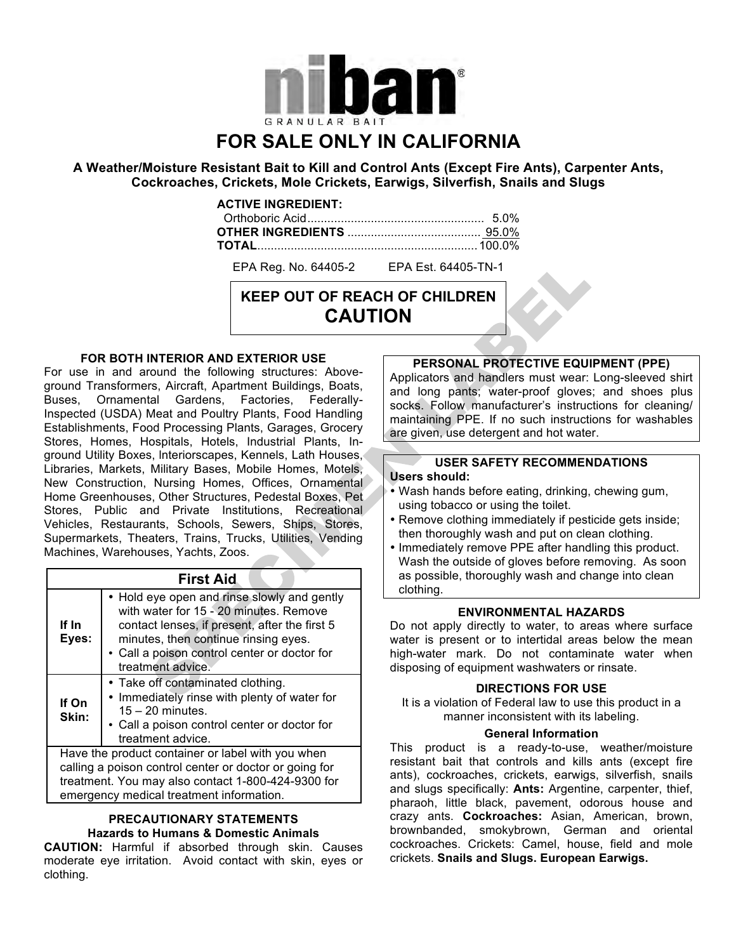

# **FOR SALE ONLY IN CALIFORNIA**

**A Weather/Moisture Resistant Bait to Kill and Control Ants (Except Fire Ants), Carpenter Ants, Cockroaches, Crickets, Mole Crickets, Earwigs, Silverfish, Snails and Slugs**

#### **ACTIVE INGREDIENT:**

EPA Reg. No. 64405-2 EPA Est. 64405-TN-1

## **KEEP OUT OF REACH OF CHILDREN CAUTION**

#### **FOR BOTH INTERIOR AND EXTERIOR USE**

For use in and around the following structures: Aboveground Transformers, Aircraft, Apartment Buildings, Boats, Buses, Ornamental Gardens, Factories, Federally-Inspected (USDA) Meat and Poultry Plants, Food Handling Establishments, Food Processing Plants, Garages, Grocery Stores, Homes, Hospitals, Hotels, Industrial Plants, Inground Utility Boxes, lnteriorscapes, Kennels, Lath Houses, Libraries, Markets, Military Bases, Mobile Homes, Motels, New Construction, Nursing Homes, Offices, Ornamental Home Greenhouses, Other Structures, Pedestal Boxes, Pet Stores, Public and Private Institutions, Recreational Vehicles, Restaurants, Schools, Sewers, Ships, Stores, Supermarkets, Theaters, Trains, Trucks, Utilities, Vending Machines, Warehouses, Yachts, Zoos.

| <b>First Aid</b> |                                                                                                                                                                                                                                                     |
|------------------|-----------------------------------------------------------------------------------------------------------------------------------------------------------------------------------------------------------------------------------------------------|
| If In<br>Eyes:   | • Hold eye open and rinse slowly and gently<br>with water for 15 - 20 minutes. Remove<br>contact lenses, if present, after the first 5<br>minutes, then continue rinsing eyes.<br>• Call a poison control center or doctor for<br>treatment advice. |
| If On<br>Skin:   | • Take off contaminated clothing.<br>• Immediately rinse with plenty of water for<br>$15 - 20$ minutes.<br>• Call a poison control center or doctor for<br>treatment advice.                                                                        |
|                  | Have the product container or label with you when<br>calling a poison control center or doctor or going for<br>treatment. You may also contact 1-800-424-9300 for<br>emergency medical treatment information.                                       |

#### **PRECAUTIONARY STATEMENTS Hazards to Humans & Domestic Animals**

**CAUTION:** Harmful if absorbed through skin. Causes moderate eye irritation. Avoid contact with skin, eyes or clothing.

## **PERSONAL PROTECTIVE EQUIPMENT (PPE)**

Applicators and handlers must wear: Long-sleeved shirt and long pants; water-proof gloves; and shoes plus socks. Follow manufacturer's instructions for cleaning/ maintaining PPE. If no such instructions for washables are given, use detergent and hot water.

#### **USER SAFETY RECOMMENDATIONS Users should:**

- Wash hands before eating, drinking, chewing gum, using tobacco or using the toilet.
- Remove clothing immediately if pesticide gets inside; then thoroughly wash and put on clean clothing.
- Immediately remove PPE after handling this product. Wash the outside of gloves before removing. As soon as possible, thoroughly wash and change into clean clothing.

## **ENVIRONMENTAL HAZARDS**

Do not apply directly to water, to areas where surface water is present or to intertidal areas below the mean high-water mark. Do not contaminate water when disposing of equipment washwaters or rinsate.

#### **DIRECTIONS FOR USE**

It is a violation of Federal law to use this product in a manner inconsistent with its labeling.

#### **General Information**

This product is a ready-to-use, weather/moisture resistant bait that controls and kills ants (except fire ants), cockroaches, crickets, earwigs, silverfish, snails and slugs specifically: **Ants:** Argentine, carpenter, thief, pharaoh, little black, pavement, odorous house and crazy ants. **Cockroaches:** Asian, American, brown, brownbanded, smokybrown, German and oriental cockroaches. Crickets: Camel, house, field and mole crickets. **Snails and Slugs. European Earwigs.**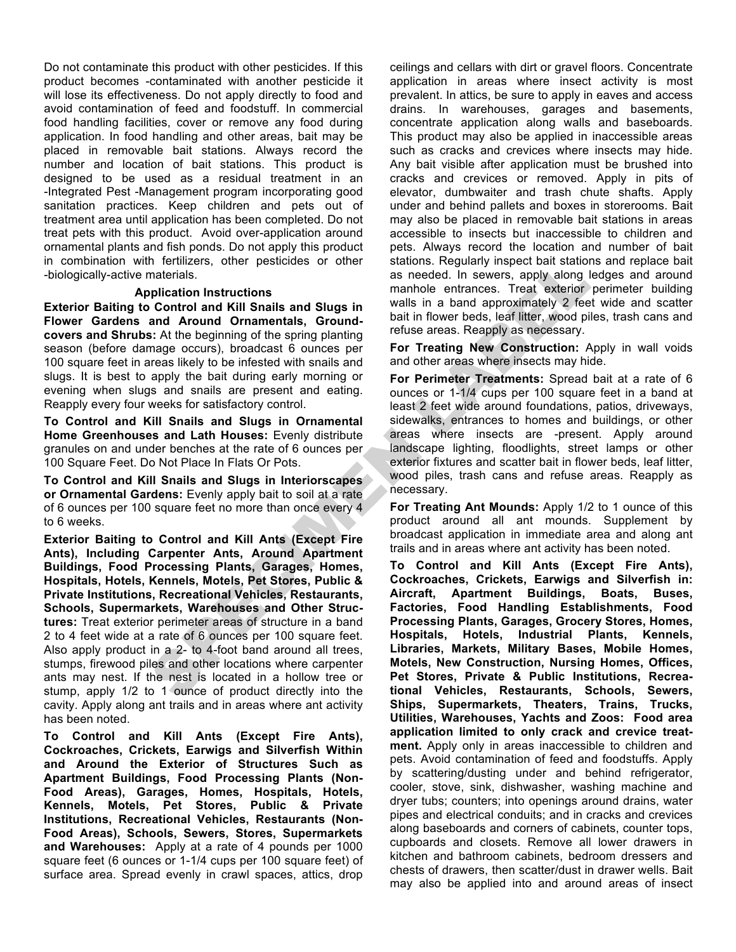Do not contaminate this product with other pesticides. If this product becomes -contaminated with another pesticide it will lose its effectiveness. Do not apply directly to food and avoid contamination of feed and foodstuff. In commercial food handling facilities, cover or remove any food during application. In food handling and other areas, bait may be placed in removable bait stations. Always record the number and location of bait stations. This product is designed to be used as a residual treatment in an -Integrated Pest -Management program incorporating good sanitation practices. Keep children and pets out of treatment area until application has been completed. Do not treat pets with this product. Avoid over-application around ornamental plants and fish ponds. Do not apply this product in combination with fertilizers, other pesticides or other -biologically-active materials.

#### **Application Instructions**

**Exterior Baiting to Control and Kill Snails and Slugs in Flower Gardens and Around Ornamentals, Groundcovers and Shrubs:** At the beginning of the spring planting season (before damage occurs), broadcast 6 ounces per 100 square feet in areas likely to be infested with snails and slugs. It is best to apply the bait during early morning or evening when slugs and snails are present and eating. Reapply every four weeks for satisfactory control.

**To Control and Kill Snails and Slugs in Ornamental Home Greenhouses and Lath Houses:** Evenly distribute granules on and under benches at the rate of 6 ounces per 100 Square Feet. Do Not Place In Flats Or Pots.

**To Control and Kill Snails and Slugs in Interiorscapes or Ornamental Gardens:** Evenly apply bait to soil at a rate of 6 ounces per 100 square feet no more than once every 4 to 6 weeks.

**Exterior Baiting to Control and Kill Ants (Except Fire Ants), Including Carpenter Ants, Around Apartment Buildings, Food Processing Plants, Garages, Homes, Hospitals, Hotels, Kennels, Motels, Pet Stores, Public & Private Institutions, Recreational Vehicles, Restaurants, Schools, Supermarkets, Warehouses and Other Structures:** Treat exterior perimeter areas of structure in a band 2 to 4 feet wide at a rate of 6 ounces per 100 square feet. Also apply product in a 2- to 4-foot band around all trees, stumps, firewood piles and other locations where carpenter ants may nest. If the nest is located in a hollow tree or stump, apply 1/2 to 1 ounce of product directly into the cavity. Apply along ant trails and in areas where ant activity has been noted.

**To Control and Kill Ants (Except Fire Ants), Cockroaches, Crickets, Earwigs and Silverfish Within and Around the Exterior of Structures Such as Apartment Buildings, Food Processing Plants (Non-Food Areas), Garages, Homes, Hospitals, Hotels, Kennels, Motels, Pet Stores, Public & Private Institutions, Recreational Vehicles, Restaurants (Non-Food Areas), Schools, Sewers, Stores, Supermarkets and Warehouses:** Apply at a rate of 4 pounds per 1000 square feet (6 ounces or 1-1/4 cups per 100 square feet) of surface area. Spread evenly in crawl spaces, attics, drop ceilings and cellars with dirt or gravel floors. Concentrate application in areas where insect activity is most prevalent. In attics, be sure to apply in eaves and access drains. In warehouses, garages and basements, concentrate application along walls and baseboards. This product may also be applied in inaccessible areas such as cracks and crevices where insects may hide. Any bait visible after application must be brushed into cracks and crevices or removed. Apply in pits of elevator, dumbwaiter and trash chute shafts. Apply under and behind pallets and boxes in storerooms. Bait may also be placed in removable bait stations in areas accessible to insects but inaccessible to children and pets. Always record the location and number of bait stations. Regularly inspect bait stations and replace bait as needed. In sewers, apply along ledges and around manhole entrances. Treat exterior perimeter building walls in a band approximately 2 feet wide and scatter bait in flower beds, leaf litter, wood piles, trash cans and refuse areas. Reapply as necessary.

**For Treating New Construction:** Apply in wall voids and other areas where insects may hide.

**For Perimeter Treatments:** Spread bait at a rate of 6 ounces or 1-1/4 cups per 100 square feet in a band at least 2 feet wide around foundations, patios, driveways, sidewalks, entrances to homes and buildings, or other areas where insects are -present. Apply around landscape lighting, floodlights, street lamps or other exterior fixtures and scatter bait in flower beds, leaf litter, wood piles, trash cans and refuse areas. Reapply as necessary.

**For Treating Ant Mounds:** Apply 1/2 to 1 ounce of this product around all ant mounds. Supplement by broadcast application in immediate area and along ant trails and in areas where ant activity has been noted.

**To Control and Kill Ants (Except Fire Ants), Cockroaches, Crickets, Earwigs and Silverfish in: Aircraft, Apartment Buildings, Boats, Buses, Factories, Food Handling Establishments, Food Processing Plants, Garages, Grocery Stores, Homes, Hospitals, Hotels, Industrial Plants, Kennels, Libraries, Markets, Military Bases, Mobile Homes, Motels, New Construction, Nursing Homes, Offices, Pet Stores, Private & Public Institutions, Recreational Vehicles, Restaurants, Schools, Sewers, Ships, Supermarkets, Theaters, Trains, Trucks, Utilities, Warehouses, Yachts and Zoos: Food area application limited to only crack and crevice treatment.** Apply only in areas inaccessible to children and pets. Avoid contamination of feed and foodstuffs. Apply by scattering/dusting under and behind refrigerator, cooler, stove, sink, dishwasher, washing machine and dryer tubs; counters; into openings around drains, water pipes and electrical conduits; and in cracks and crevices along baseboards and corners of cabinets, counter tops, cupboards and closets. Remove all lower drawers in kitchen and bathroom cabinets, bedroom dressers and chests of drawers, then scatter/dust in drawer wells. Bait may also be applied into and around areas of insect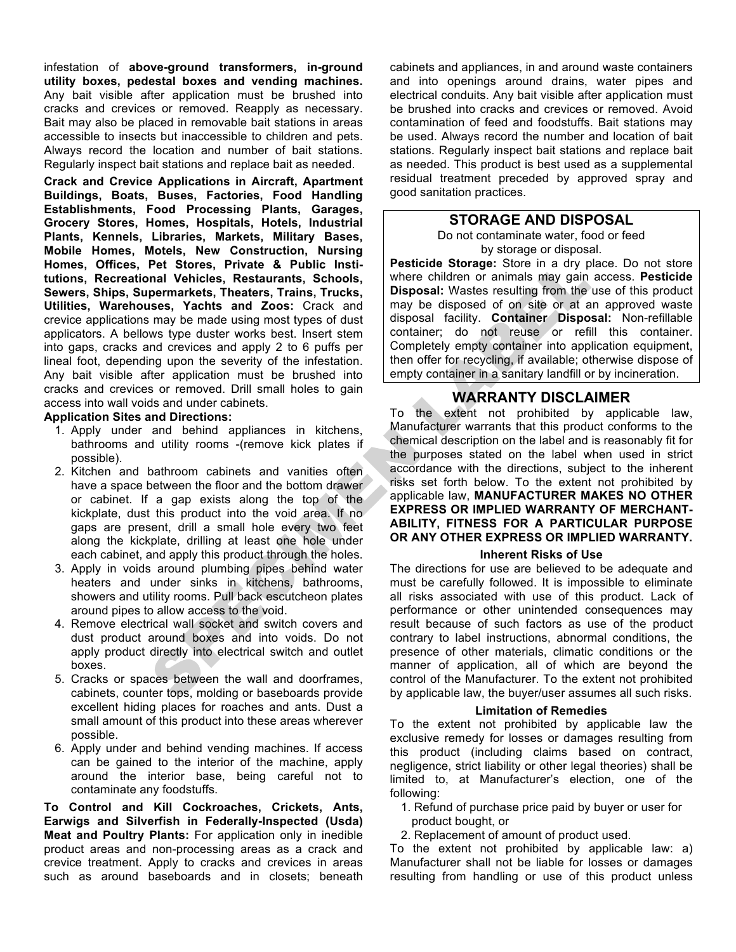infestation of **above-ground transformers, in-ground utility boxes, pedestal boxes and vending machines.** Any bait visible after application must be brushed into cracks and crevices or removed. Reapply as necessary. Bait may also be placed in removable bait stations in areas accessible to insects but inaccessible to children and pets. Always record the location and number of bait stations. Regularly inspect bait stations and replace bait as needed.

**Crack and Crevice Applications in Aircraft, Apartment Buildings, Boats, Buses, Factories, Food Handling Establishments, Food Processing Plants, Garages, Grocery Stores, Homes, Hospitals, Hotels, Industrial Plants, Kennels, Libraries, Markets, Military Bases, Mobile Homes, Motels, New Construction, Nursing Homes, Offices, Pet Stores, Private & Public Institutions, Recreational Vehicles, Restaurants, Schools, Sewers, Ships, Supermarkets, Theaters, Trains, Trucks, Utilities, Warehouses, Yachts and Zoos:** Crack and crevice applications may be made using most types of dust applicators. A bellows type duster works best. Insert stem into gaps, cracks and crevices and apply 2 to 6 puffs per lineal foot, depending upon the severity of the infestation. Any bait visible after application must be brushed into cracks and crevices or removed. Drill small holes to gain access into wall voids and under cabinets.

#### **Application Sites and Directions:**

- 1. Apply under and behind appliances in kitchens, bathrooms and utility rooms -(remove kick plates if possible).
- 2. Kitchen and bathroom cabinets and vanities often have a space between the floor and the bottom drawer or cabinet. If a gap exists along the top of the kickplate, dust this product into the void area. If no gaps are present, drill a small hole every two feet along the kickplate, drilling at least one hole under each cabinet, and apply this product through the holes.
- 3. Apply in voids around plumbing pipes behind water heaters and under sinks in kitchens, bathrooms, showers and utility rooms. Pull back escutcheon plates around pipes to allow access to the void.
- 4. Remove electrical wall socket and switch covers and dust product around boxes and into voids. Do not apply product directly into electrical switch and outlet boxes.
- 5. Cracks or spaces between the wall and doorframes, cabinets, counter tops, molding or baseboards provide excellent hiding places for roaches and ants. Dust a small amount of this product into these areas wherever possible.
- 6. Apply under and behind vending machines. If access can be gained to the interior of the machine, apply around the interior base, being careful not to contaminate any foodstuffs.

**To Control and Kill Cockroaches, Crickets, Ants, Earwigs and Silverfish in Federally-Inspected (Usda) Meat and Poultry Plants:** For application only in inedible product areas and non-processing areas as a crack and crevice treatment. Apply to cracks and crevices in areas such as around baseboards and in closets; beneath cabinets and appliances, in and around waste containers and into openings around drains, water pipes and electrical conduits. Any bait visible after application must be brushed into cracks and crevices or removed. Avoid contamination of feed and foodstuffs. Bait stations may be used. Always record the number and location of bait stations. Regularly inspect bait stations and replace bait as needed. This product is best used as a supplemental residual treatment preceded by approved spray and good sanitation practices.

## **STORAGE AND DISPOSAL**

Do not contaminate water, food or feed by storage or disposal.

**Pesticide Storage:** Store in a dry place. Do not store where children or animals may gain access. **Pesticide Disposal:** Wastes resulting from the use of this product may be disposed of on site or at an approved waste disposal facility. **Container Disposal:** Non-refillable container; do not reuse or refill this container. Completely empty container into application equipment, then offer for recycling, if available; otherwise dispose of empty container in a sanitary landfill or by incineration.

## **WARRANTY DISCLAIMER**

To the extent not prohibited by applicable law, Manufacturer warrants that this product conforms to the chemical description on the label and is reasonably fit for the purposes stated on the label when used in strict accordance with the directions, subject to the inherent risks set forth below. To the extent not prohibited by applicable law, **MANUFACTURER MAKES NO OTHER EXPRESS OR IMPLIED WARRANTY OF MERCHANT-ABILITY, FITNESS FOR A PARTICULAR PURPOSE OR ANY OTHER EXPRESS OR IMPLIED WARRANTY.**

#### **Inherent Risks of Use**

The directions for use are believed to be adequate and must be carefully followed. It is impossible to eliminate all risks associated with use of this product. Lack of performance or other unintended consequences may result because of such factors as use of the product contrary to label instructions, abnormal conditions, the presence of other materials, climatic conditions or the manner of application, all of which are beyond the control of the Manufacturer. To the extent not prohibited by applicable law, the buyer/user assumes all such risks.

#### **Limitation of Remedies**

To the extent not prohibited by applicable law the exclusive remedy for losses or damages resulting from this product (including claims based on contract, negligence, strict liability or other legal theories) shall be limited to, at Manufacturer's election, one of the following:

- 1. Refund of purchase price paid by buyer or user for product bought, or
- 2. Replacement of amount of product used.

To the extent not prohibited by applicable law: a) Manufacturer shall not be liable for losses or damages resulting from handling or use of this product unless